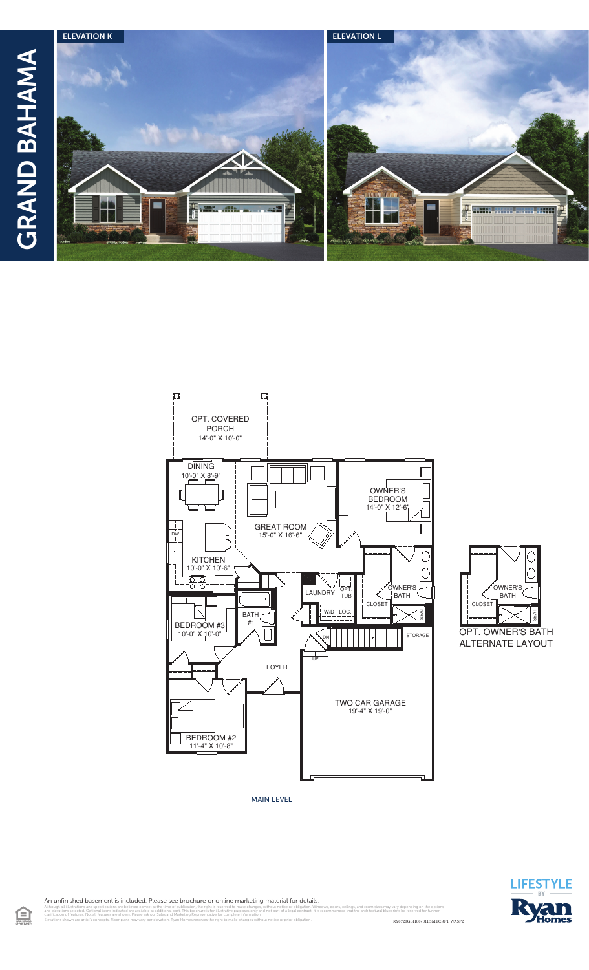





MAIN LEVEL



An unfinished basement is included. Please see brochure or online marketing material for details.

 $\bigoplus$ 

RY0720GBH00v01BSMTCRFT WASP2 illustrations and specifications are believed correct at the time of publication, the right is reserved to make changes, without notice or obligation. Windows, doors, ceilings, and room sizes may vary depending on the opti clarification of features. Not all features are shown. Please ask our Sales and Marketing Representative for complete information. Elevations shown are artist's concepts. Floor plans may vary per elevation. Ryan Homes reserves the right to make changes without notice or prior obligation.